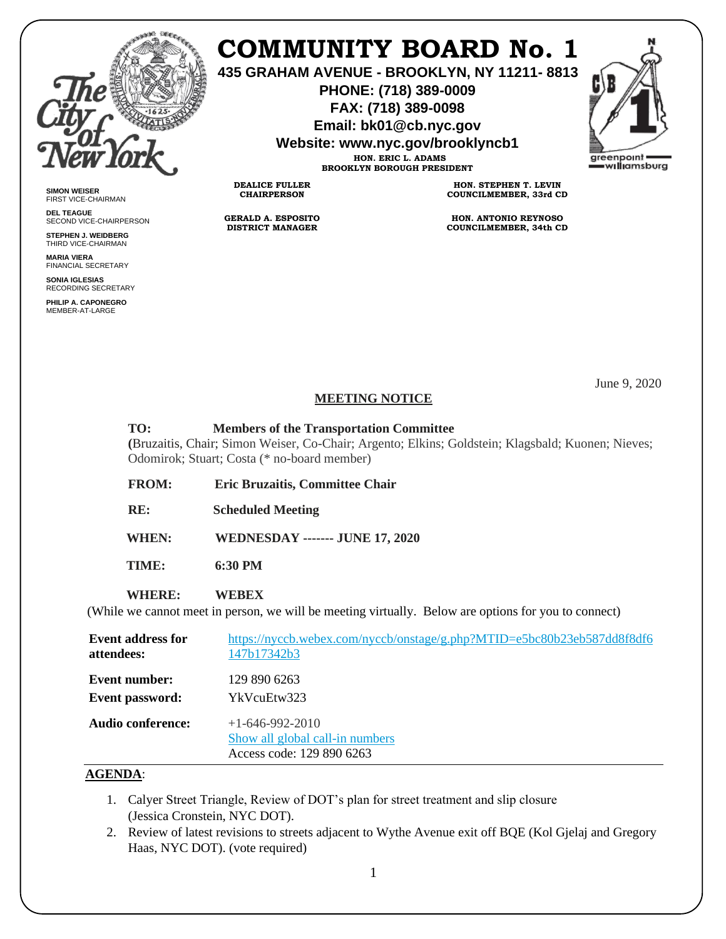

**SIMON WEISER** FIRST VICE-CHAIRMAN **DEL TEAGUE**

SECOND VICE-CHAIRPERSON **STEPHEN J. WEIDBERG** THIRD VICE-CHAIRMAN **MARIA VIERA** FINANCIAL SECRETARY **SONIA IGLESIAS** RECORDING SECRETARY **PHILIP A. CAPONEGRO** MEMBER-AT-LARGE

## **COMMUNITY BOARD No. 1**

**435 GRAHAM AVENUE - BROOKLYN, NY 11211- 8813**

**PHONE: (718) 389-0009 FAX: (718) 389-0098**

**Email: bk01@cb.nyc.gov**

**Website: www.nyc.gov/brooklyncb1**



**HON. ERIC L. ADAMS BROOKLYN BOROUGH PRESIDENT**

**DEALICE FULLER CHAIRPERSON**

**GERALD A. ESPOSITO DISTRICT MANAGER**

**HON. STEPHEN T. LEVIN COUNCILMEMBER, 33rd CD**

**HON. ANTONIO REYNOSO COUNCILMEMBER, 34th CD**

June 9, 2020

## **MEETING NOTICE**

**TO: Members of the Transportation Committee**

**(**Bruzaitis, Chair; Simon Weiser, Co-Chair; Argento; Elkins; Goldstein; Klagsbald; Kuonen; Nieves; Odomirok; Stuart; Costa (\* no-board member)

**FROM: Eric Bruzaitis, Committee Chair**

**RE: Scheduled Meeting**

 **WHEN: WEDNESDAY ------- JUNE 17, 2020**

 **TIME: 6:30 PM**

 **WHERE: WEBEX**

(While we cannot meet in person, we will be meeting virtually. Below are options for you to connect)

| <b>Event address for</b> | https://nyccb.webex.com/nyccb/onstage/g.php?MTID=e5bc80b23eb587dd8f8df6           |
|--------------------------|-----------------------------------------------------------------------------------|
| attendees:               | 147b17342b3                                                                       |
| Event number:            | 129 890 6263                                                                      |
| Event password:          | YkVcuEtw323                                                                       |
| Audio conference:        | $+1-646-992-2010$<br>Show all global call-in numbers<br>Access code: 129 890 6263 |

## **AGENDA**:

- 1. Calyer Street Triangle, Review of DOT's plan for street treatment and slip closure (Jessica Cronstein, NYC DOT).
- 2. Review of latest revisions to streets adjacent to Wythe Avenue exit off BQE (Kol Gjelaj and Gregory Haas, NYC DOT). (vote required)